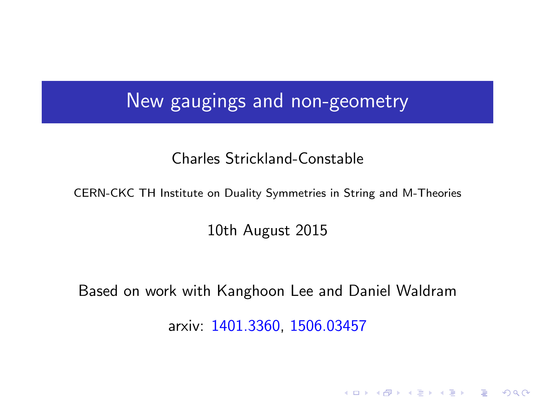## New gaugings and non-geometry

### Charles Strickland-Constable

CERN-CKC TH Institute on Duality Symmetries in String and M-Theories

10th August 2015

<span id="page-0-0"></span>Based on work with Kanghoon Lee and Daniel Waldram

arxiv: 1401.3360, 1506.03457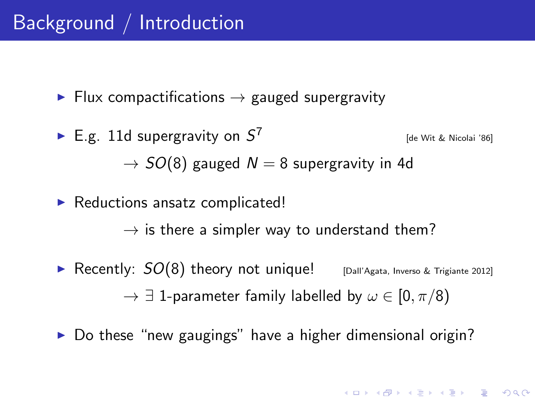# Background / Introduction

 $\blacktriangleright$  Flux compactifications  $\rightarrow$  gauged supergravity

- E.g. 11d supergravity on  $S^7$ [de Wit & Nicolai '86]  $\rightarrow$  SO(8) gauged  $N = 8$  supergravity in 4d
- $\blacktriangleright$  Reductions ansatz complicated!

 $\rightarrow$  is there a simpler way to understand them?

- **•** Recently:  $SO(8)$  theory not unique! [Dall'Agata, Inverso & Trigiante 2012]  $\rightarrow \exists$  1-parameter family labelled by  $\omega \in [0, \pi/8)$
- $\triangleright$  Do these "new gaugings" have a higher dimensional origin?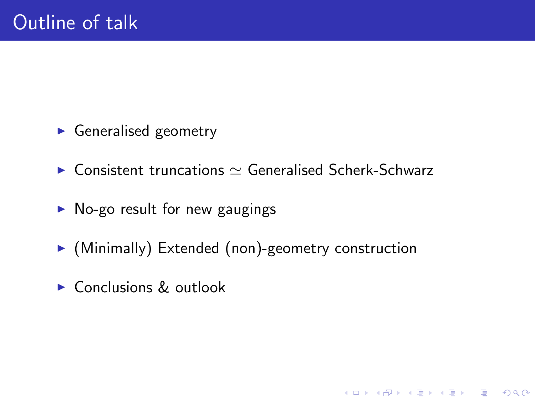- $\blacktriangleright$  Generalised geometry
- $\triangleright$  Consistent truncations  $\simeq$  Generalised Scherk-Schwarz
- $\triangleright$  No-go result for new gaugings
- $\triangleright$  (Minimally) Extended (non)-geometry construction

<span id="page-2-0"></span> $\triangleright$  Conclusions & outlook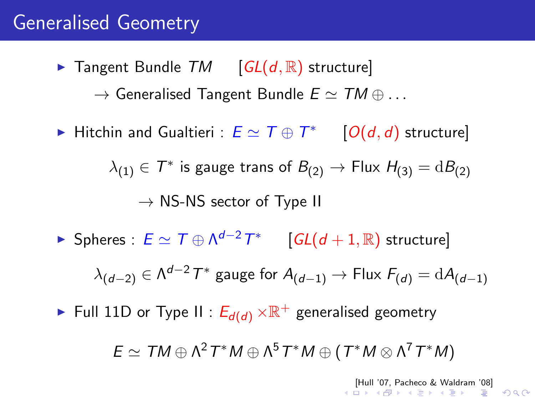# Generalised Geometry

- $\triangleright$  Tangent Bundle TM  $[GL(d, \mathbb{R})]$  structure  $\rightarrow$  Generalised Tangent Bundle  $E \simeq TM \oplus ...$
- ► Hitchin and Gualtieri :  $E \simeq T \oplus T^*$  [O(d, d) structure]

 $\lambda_{(1)} \in \mathcal{T}^*$  is gauge trans of  $B_{(2)} \to$  Flux  $H_{(3)} = \mathrm{d}B_{(2)}$  $\rightarrow$  NS-NS sector of Type II

► Spheres :  $E \simeq T \oplus \Lambda^{d-2} T^*$  [GL(d + 1, R) structure]

 $\lambda_{(d-2)}\in\Lambda^{d-2}\,7^*$  gauge for  $A_{(d-1)}\to$  Flux  $F_{(d)}=\text{d} A_{(d-1)}$ 

<span id="page-3-0"></span> $\blacktriangleright$  Full 11D or Type II :  $E_{d(d)}\times\mathbb{R}^+$  generalised geometry

 $E \simeq TM \oplus \Lambda^2 T^*M \oplus \Lambda^5 T^*M \oplus (T^*M \otimes \Lambda^7 T^*M)$ 

[[Hul](#page-4-0)[l '](#page-2-0)[07,](#page-3-0) [Pa](#page-4-0)[chec](#page-0-0)[o &](#page-31-0) [Wa](#page-0-0)[ldra](#page-31-0)[m '](#page-0-0)[08\]](#page-31-0)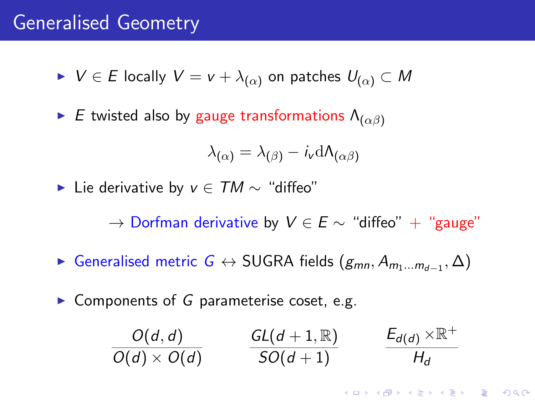## Generalised Geometry

- $V \in E$  locally  $V = v + \lambda_{(\alpha)}$  on patches  $U_{(\alpha)} \subset M$
- E twisted also by gauge transformations  $\Lambda_{(\alpha\beta)}$

$$
\lambda_{(\alpha)} = \lambda_{(\beta)} - i_{\mathsf{v}} \mathrm{d} \Lambda_{(\alpha\beta)}
$$

► Lie derivative by  $v \in TM \sim$  "diffeo"

 $\rightarrow$  Dorfman derivative by  $V \in E \sim$  "diffeo" + "gauge"

- $\blacktriangleright$  Generalised metric *G*  $\leftrightarrow$  SUGRA fields  $(g_{mn}, A_{m_1...m_{d-1}}, \Delta)$
- <span id="page-4-0"></span> $\triangleright$  Components of G parameterise coset, e.g.

$$
\frac{O(d,d)}{O(d)\times O(d)} \qquad \frac{GL(d+1,\mathbb{R})}{SO(d+1)} \qquad \frac{E_{d(d)}\times\mathbb{R}^+}{H_d}
$$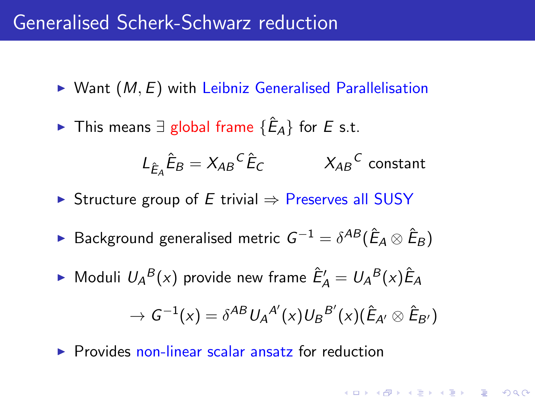## Generalised Scherk-Schwarz reduction

- $\triangleright$  Want  $(M, E)$  with Leibniz Generalised Parallelisation
- ► This means  $\exists$  global frame  $\{\hat{E}_A\}$  for  $E$  s.t.

$$
L_{\hat{E}_A}\hat{E}_B = X_{AB}{}^C \hat{E}_C \qquad X_{AB}{}^C \text{ constant}
$$

**KORK (FRAGE) EL POLO** 

- $\triangleright$  Structure group of E trivial  $\Rightarrow$  Preserves all SUSY
- ► Background generalised metric  $G^{-1} = \delta^{AB}(\hat{E}_A \otimes \hat{E}_B)$
- $\blacktriangleright$  Moduli  $U_A{}^B(x)$  provide new frame  $\hat{E}'_A = U_A{}^B(x)\hat{E}_A$  $\rightarrow \, {\cal G}^{-1}(x) = \delta^{AB} \, U_A{}^{A'}(x) U_B{}^{B'}(x) (\hat E_{A'} \otimes \hat E_{B'})$
- $\triangleright$  Provides non-linear scalar ansatz for reduction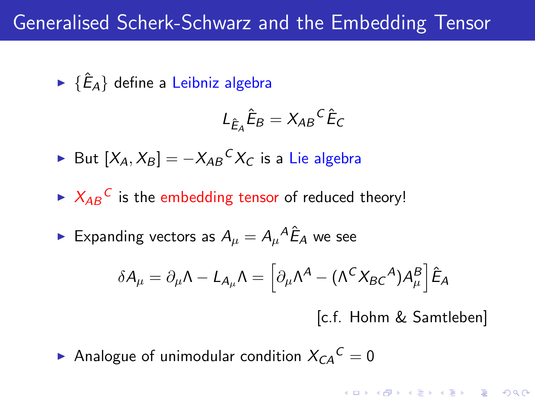# Generalised Scherk-Schwarz and the Embedding Tensor

 $\blacktriangleright$   $\{\hat{E}_A\}$  define a Leibniz algebra

$$
L_{\hat{E}_A}\hat{E}_B = X_{AB}{}^C \hat{E}_C
$$

- ► But  $[X_A, X_B] = -X_{AB}{}^C X_C$  is a Lie algebra
- $\blacktriangleright$   $X_{AB}^C$  is the embedding tensor of reduced theory!
- $\blacktriangleright$  Expanding vectors as  $A_\mu=A_\mu{}^A\hat{E}_A$  we see

$$
\delta A_{\mu} = \partial_{\mu} \Lambda - L_{A_{\mu}} \Lambda = \left[ \partial_{\mu} \Lambda^{A} - (\Lambda^{C} X_{BC}{}^{A}) A_{\mu}^{B} \right] \hat{E}_{A}
$$

[c.f. Hohm & Samtleben]

**AD A 4 4 4 5 A 5 A 5 A 4 D A 4 D A 4 PM** 

Analogue of unimodular condition  $X_{CA}{}^C=0$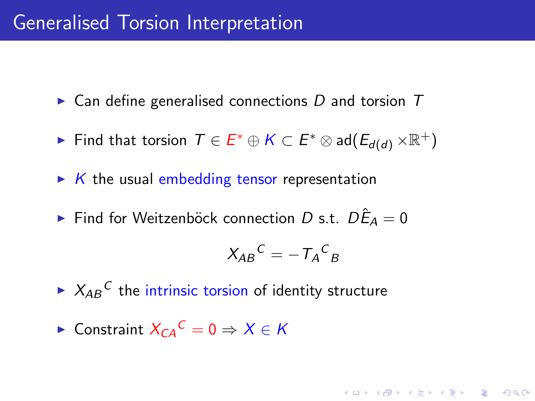## Generalised Torsion Interpretation

 $\triangleright$  Can define generalised connections D and torsion T

- ► Find that torsion  $\mathcal{T} \in E^* \oplus K \subset E^* \otimes \mathsf{ad}(E_{d(d)} \times \mathbb{R}^+)$
- $\triangleright$  K the usual embedding tensor representation
- ► Find for Weitzenböck connection D s.t.  $D\hat{E}_A=0$

$$
X_{AB}{}^C = -T_A{}^C{}_B
$$

KID KA KERKER KID KO

- $\blacktriangleright$   $X_{AB}^C$  the intrinsic torsion of identity structure
- ► Constraint  $X_{CA}^C = 0 \Rightarrow X \in K$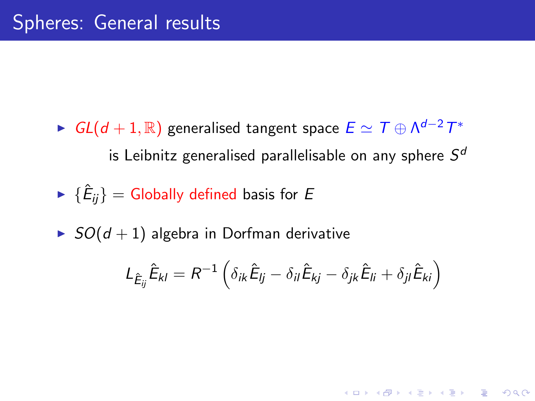- ►  $GL(d+1,\mathbb{R})$  generalised tangent space  $E \simeq \mathcal{T} \oplus \mathsf{\Lambda}^{d-2}\mathcal{T}^*$ is Leibnitz generalised parallelisable on any sphere  $\mathcal{S}^d$
- $\blacktriangleright$   $\{\hat{E}_{ij}\} =$  Globally defined basis for  $E$
- $\triangleright$  SO(d + 1) algebra in Dorfman derivative

$$
L_{\hat{E}_{ij}}\hat{E}_{kl} = R^{-1} \left( \delta_{ik}\hat{E}_{lj} - \delta_{il}\hat{E}_{kj} - \delta_{jk}\hat{E}_{li} + \delta_{jl}\hat{E}_{ki} \right)
$$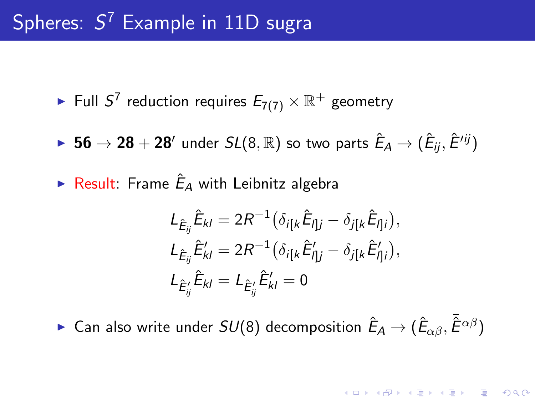# Spheres:  $S^7$  Example in 11D sugra

 $\blacktriangleright$  Full  $S^7$  reduction requires  $E_{7(7)}\times \mathbb{R}^+$  geometry

- $\blacktriangleright$   $\,56 \rightarrow 28 + 28'$  under  $SL(8,\mathbb{R})$  so two parts  $\hat{E}_A \rightarrow (\hat{E}_{ij}, \hat{E}'^{ij})$
- $\blacktriangleright$  Result: Frame  $\hat{E}_A$  with Leibnitz algebra

$$
L_{\hat{E}_{ij}} \hat{E}_{kl} = 2R^{-1} \left( \delta_{i[k} \hat{E}_{I]j} - \delta_{j[k} \hat{E}_{I]i} \right),
$$
  
\n
$$
L_{\hat{E}_{ij}} \hat{E}'_{kl} = 2R^{-1} \left( \delta_{i[k} \hat{E}'_{I]j} - \delta_{j[k} \hat{E}'_{I]i} \right),
$$
  
\n
$$
L_{\hat{E}'_{ij}} \hat{E}_{kl} = L_{\hat{E}'_{ij}} \hat{E}'_{kl} = 0
$$

 $\blacktriangleright$  Can also write under  $SU(8)$  decomposition  $\hat{E}_A\to (\hat{E}_{\alpha\beta}, \bar{\hat{E}}^{\alpha\beta})$ 

**KORKAR KERKER E VOOR**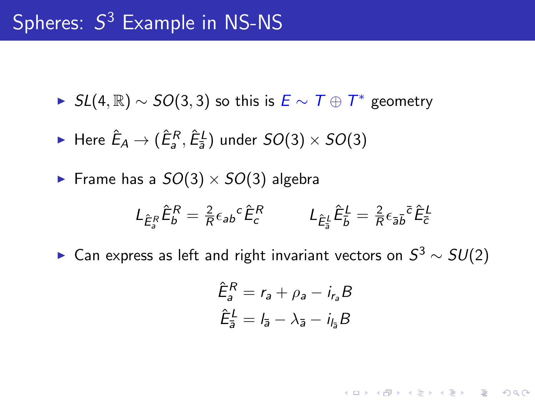- ►  $SL(4,\mathbb{R}) \sim SO(3,3)$  so this is  $\overline{E} \sim \overline{T} \oplus \overline{T}^*$  geometry
- $\blacktriangleright$  Here  $\hat{E}_A \rightarrow (\hat{E}^R_a, \hat{E}^L_{\bar{a}})$  under  $SO(3)\times SO(3)$
- Frame has a  $SO(3) \times SO(3)$  algebra

$$
L_{\hat{E}_{\delta}^{R}}\hat{E}_{b}^{R}=\tfrac{2}{R}\epsilon_{ab}{}^{c}\hat{E}_{c}^{R} \hspace{1cm} L_{\hat{E}_{\delta}^{L}}\hat{E}_{b}^{L}=\tfrac{2}{R}\epsilon_{\bar{a}\bar{b}}{}^{\bar{c}}\hat{E}_{\bar{c}}^{L}
$$

► Can express as left and right invariant vectors on  $S^3\sim SU(2)$ 

$$
\hat{E}_a^R = r_a + \rho_a - i_{r_a}B
$$

$$
\hat{E}_{\bar{a}}^L = l_{\bar{a}} - \lambda_{\bar{a}} - i_{l_{\bar{a}}}B
$$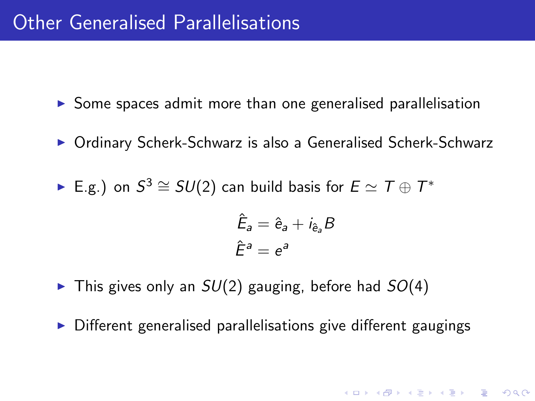- $\triangleright$  Some spaces admit more than one generalised parallelisation
- ▶ Ordinary Scherk-Schwarz is also a Generalised Scherk-Schwarz
- ► E.g.) on  $S^3 \cong SU(2)$  can build basis for  $E \simeq T \oplus T^*$

$$
\hat{E}_a = \hat{e}_a + i_{\hat{e}_a} B
$$

$$
\hat{E}^a = e^a
$$

KID KA KERKER E VOOR

- $\triangleright$  This gives only an  $SU(2)$  gauging, before had  $SO(4)$
- $\triangleright$  Different generalised parallelisations give different gaugings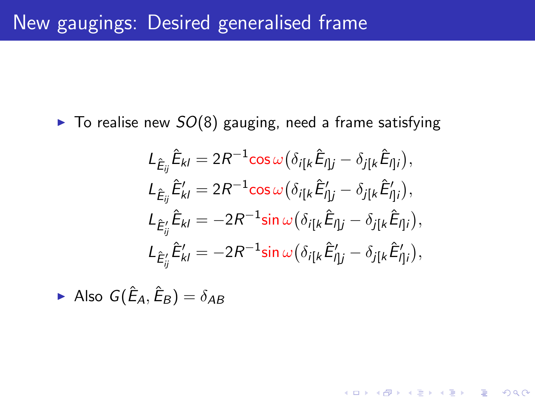$\triangleright$  To realise new  $SO(8)$  gauging, need a frame satisfying

$$
L_{\hat{E}_{ij}}\hat{E}_{kl} = 2R^{-1}\cos\omega\left(\delta_{i[k}\hat{E}_{lj} - \delta_{j[k}\hat{E}_{lj]}\right),
$$
  
\n
$$
L_{\hat{E}_{ij}}\hat{E}_{kl}' = 2R^{-1}\cos\omega\left(\delta_{i[k}\hat{E}_{lj}' - \delta_{j[k}\hat{E}_{lj}']\right),
$$
  
\n
$$
L_{\hat{E}_{ij}'}\hat{E}_{kl} = -2R^{-1}\sin\omega\left(\delta_{i[k}\hat{E}_{lj} - \delta_{j[k}\hat{E}_{lj]}\right),
$$
  
\n
$$
L_{\hat{E}_{ij}'}\hat{E}_{kl}' = -2R^{-1}\sin\omega\left(\delta_{i[k}\hat{E}_{lj}' - \delta_{j[k}\hat{E}_{lj}']\right),
$$

**K ロ ▶ K @ ▶ K 할 X X 할 X 및 할 X X Q Q O** 

Also  $G(\hat{E}_A, \hat{E}_B) = \delta_{AB}$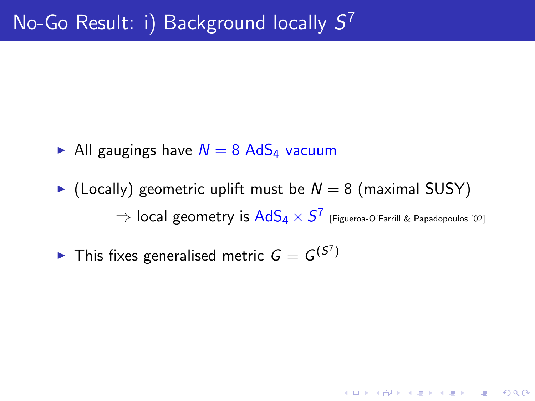- All gaugings have  $N = 8$  AdS<sub>4</sub> vacuum
- $\triangleright$  (Locally) geometric uplift must be  $N = 8$  (maximal SUSY)  $\Rightarrow$   $\sf local$   ${\sf geometry}$  is  $\sf AddS_4 \times S^7$  [Figueroa-O'Farrill & Papadopoulos '02]

 $\blacktriangleright$  This fixes generalised metric  $G=G^{(S^7)}$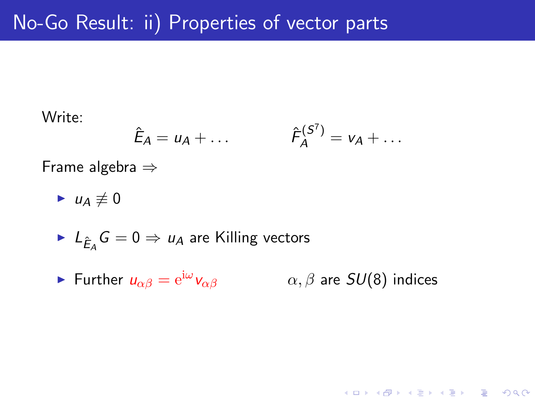Write:

$$
\hat{E}_A = u_A + \dots \qquad \qquad \hat{F}_A^{(S^7)} = v_A + \dots
$$

Frame algebra ⇒

$$
\blacktriangleright u_A \not\equiv 0
$$

$$
\blacktriangleright
$$
  $L_{\hat{E}_A}G = 0 \Rightarrow u_A$  are Killing vectors

• Further 
$$
u_{\alpha\beta} = e^{i\omega} v_{\alpha\beta}
$$
  $\alpha, \beta$  are  $SU(8)$  indices

K ロ ▶ K @ ▶ K 할 ▶ K 할 ▶ | 할 | ⊙Q @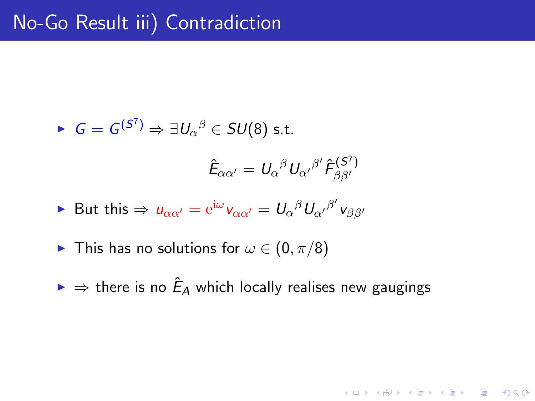$$
\triangleright \ \ G = G^{(S^7)} \Rightarrow \exists U_{\alpha}{}^{\beta} \in SU(8) \text{ s.t.}
$$

$$
\hat{E}_{\alpha\alpha'} = U_{\alpha}{}^{\beta} U_{\alpha'}{}^{\beta'} \hat{F}_{\beta\beta'}^{(S^7)}
$$

$$
\blacktriangleright \text{ But this} \Rightarrow u_{\alpha\alpha'} = e^{i\omega} v_{\alpha\alpha'} = U_{\alpha}{}^{\beta} U_{\alpha'}{}^{\beta'} v_{\beta\beta'}
$$

- ► This has no solutions for  $\omega \in (0, \pi/8)$
- $\blacktriangleright\Rightarrow$  there is no  $\hat{E}_A$  which locally realises new gaugings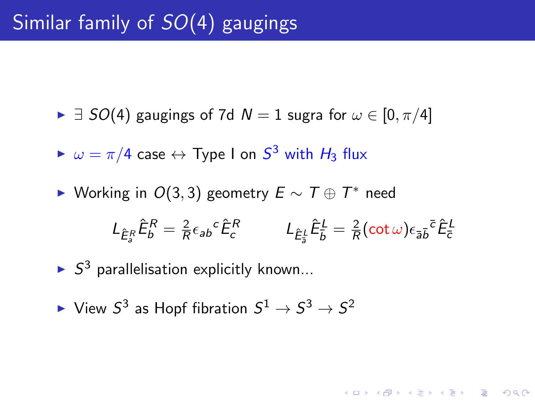- $\triangleright$   $\exists$  SO(4) gaugings of 7d N = 1 sugra for  $\omega \in [0, \pi/4]$
- $\blacktriangleright$   $\omega = \pi/4$  case  $\leftrightarrow$  Type I on  $S^3$  with  $H_3$  flux
- ► Working in  $O(3,3)$  geometry  $E \sim T \oplus T^*$  need

$$
L_{\hat{\mathcal{E}}_{\mathcal{S}}^R} \hat{\mathcal{E}}_{\mathcal{b}}^R = \frac{2}{R} \epsilon_{ab}{}^c \hat{\mathcal{E}}_{\mathcal{c}}^R \qquad L_{\hat{\mathcal{E}}_{\mathcal{S}}^L} \hat{\mathcal{E}}_{\mathcal{b}}^L = \frac{2}{R} (\cot \omega) \epsilon_{\bar{a} \bar{b}}{}^{\bar{c}} \hat{\mathcal{E}}_{\bar{c}}^L
$$

- $\blacktriangleright$   $S^3$  parallelisation explicitly known...
- $\blacktriangleright$  View  $S^3$  as Hopf fibration  $S^1\to S^3\to S^2$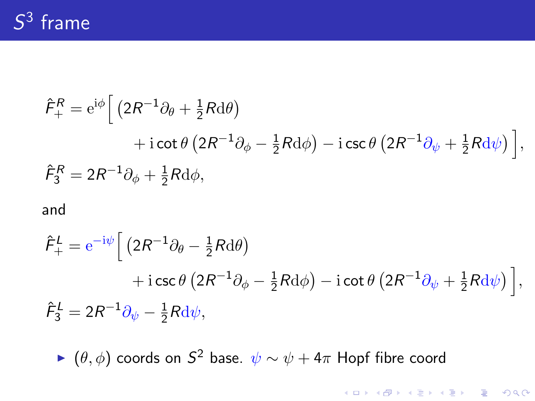# $S^3$  frame

$$
\hat{F}_{+}^{R} = e^{i\phi} \Big[ \left( 2R^{-1}\partial_{\theta} + \frac{1}{2}Rd\theta \right) \n+ i \cot \theta \left( 2R^{-1}\partial_{\phi} - \frac{1}{2}Rd\phi \right) - i \csc \theta \left( 2R^{-1}\partial_{\psi} + \frac{1}{2}Rd\psi \right) \Big],
$$
\n
$$
\hat{F}_{3}^{R} = 2R^{-1}\partial_{\phi} + \frac{1}{2}Rd\phi,
$$

#### and

$$
\hat{F}_{+}^{L} = e^{-i\psi} \left[ \left( 2R^{-1}\partial_{\theta} - \frac{1}{2}R d\theta \right) + i \csc \theta \left( 2R^{-1}\partial_{\phi} - \frac{1}{2}R d\phi \right) - i \cot \theta \left( 2R^{-1}\partial_{\psi} + \frac{1}{2}R d\psi \right) \right],
$$
  

$$
\hat{F}_{3}^{L} = 2R^{-1}\partial_{\psi} - \frac{1}{2}R d\psi,
$$

►  $(\theta, \phi)$  coords on  $S^2$  base.  $\psi \sim \psi + 4\pi$  Hopf fibre coord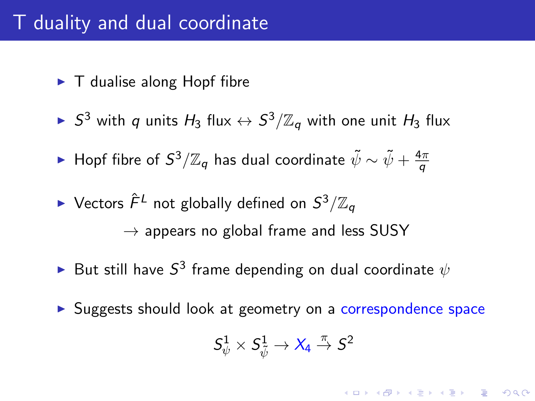# T duality and dual coordinate

- $\blacktriangleright$  T dualise along Hopf fibre
- $\blacktriangleright$   $S^3$  with  $q$  units  $H_3$  flux  $\leftrightarrow$   $S^3/\mathbb{Z}_q$  with one unit  $H_3$  flux
- ► Hopf fibre of  $S^3/\mathbb{Z}_q$  has dual coordinate  $\tilde{\psi}\sim \tilde{\psi}+\frac{4\pi}{g}$ q
- $\blacktriangleright$  Vectors  $\hat{\digamma}^L$  not globally defined on  $S^3/\mathbb{Z}_q$  $\rightarrow$  appears no global frame and less SUSY
- $\blacktriangleright$  But still have  $S^3$  frame depending on dual coordinate  $\psi$
- ▶ Suggests should look at geometry on a correspondence space

$$
S^1_\psi \times S^1_{\tilde\psi} \to X_4 \stackrel{\pi}{\to} S^2
$$

**AD A 4 4 4 5 A 5 A 5 A 4 D A 4 D A 4 PM**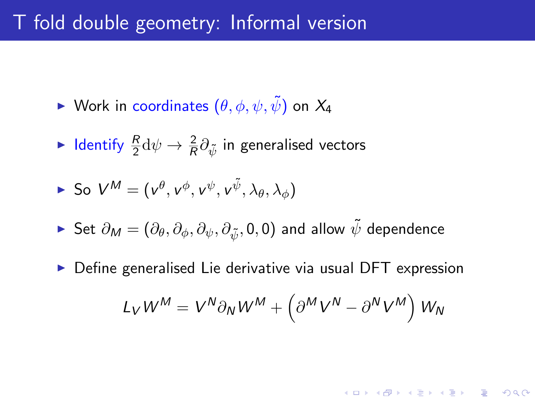## T fold double geometry: Informal version

- ► Work in coordinates  $(\theta, \phi, \psi, \tilde{\psi})$  on  $X_4$
- $\blacktriangleright$  Identify  $\frac{R}{2}\mathrm{d}\psi\rightarrow\frac{2}{R}\partial_{\tilde{\psi}}$  in generalised vectors

▶ So 
$$
V^M = (v^\theta, v^\phi, v^\psi, v^{\tilde{\psi}}, \lambda_\theta, \lambda_\phi)
$$

- ► Set  $\partial_M = (\partial_\theta, \partial_\phi, \partial_\psi, \partial_{\tilde{\psi}}, 0, 0)$  and allow  $\tilde{\psi}$  dependence
- $\triangleright$  Define generalised Lie derivative via usual DFT expression

$$
L_V W^M = V^N \partial_N W^M + \left( \partial^M V^N - \partial^N V^M \right) W_N
$$

KID KA KERKER E VOOR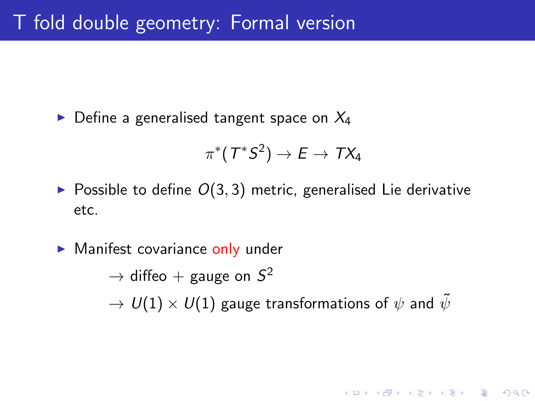$\triangleright$  Define a generalised tangent space on  $X_4$ 

$$
\pi^*(T^*S^2)\to E\to TX_4
$$

- $\triangleright$  Possible to define  $O(3, 3)$  metric, generalised Lie derivative etc.
- $\blacktriangleright$  Manifest covariance only under  $\rightarrow$  diffeo  $+$  gauge on  $S^2$  $\rightarrow U(1) \times U(1)$  gauge transformations of  $\psi$  and  $\tilde{\psi}$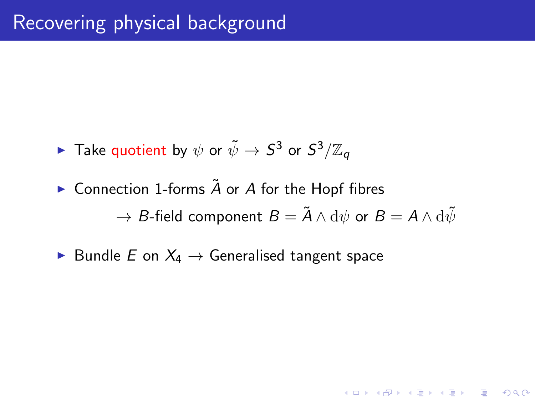- $\blacktriangleright$  Take quotient by  $\psi$  or  $\tilde{\psi} \to S^3$  or  $S^3/\mathbb{Z}_q$
- $\triangleright$  Connection 1-forms  $\tilde{A}$  or A for the Hopf fibres  $\rightarrow$  *B*-field component  $B = \tilde{A} \wedge d\psi$  or  $B = A \wedge d\tilde{\psi}$

K ロ ▶ K @ ▶ K 할 > K 할 > 1 할 > 1 이익어

► Bundle E on  $X_4 \rightarrow$  Generalised tangent space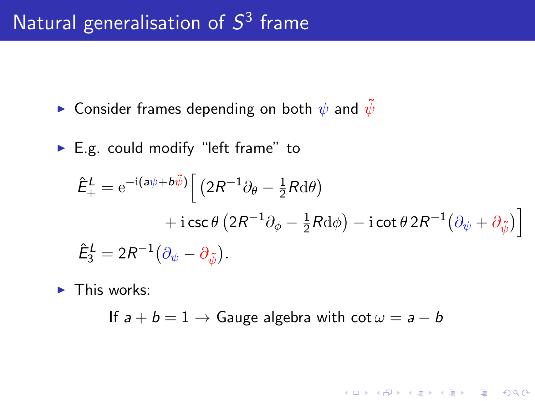# Natural generalisation of  $S^3$  frame

- **In Consider frames depending on both**  $\psi$  **and**  $\psi$
- $\blacktriangleright$  E.g. could modify "left frame" to

$$
\hat{E}_{+}^{L} = e^{-i(\mathbf{a}\psi + \mathbf{b}\tilde{\psi})} \Big[ \left( 2R^{-1}\partial_{\theta} - \frac{1}{2}R \mathrm{d}\theta \right) \n+ i \csc \theta \left( 2R^{-1}\partial_{\phi} - \frac{1}{2}R \mathrm{d}\phi \right) - i \cot \theta 2R^{-1} \left( \partial_{\psi} + \partial_{\tilde{\psi}} \right) \Big]
$$
\n
$$
\hat{E}_{3}^{L} = 2R^{-1} \left( \partial_{\psi} - \partial_{\tilde{\psi}} \right).
$$

**K ロ ▶ K @ ▶ K 할 X X 할 X 및 할 X X Q Q O** 

 $\blacktriangleright$  This works:

If  $a + b = 1 \rightarrow$  Gauge algebra with  $\cot \omega = a - b$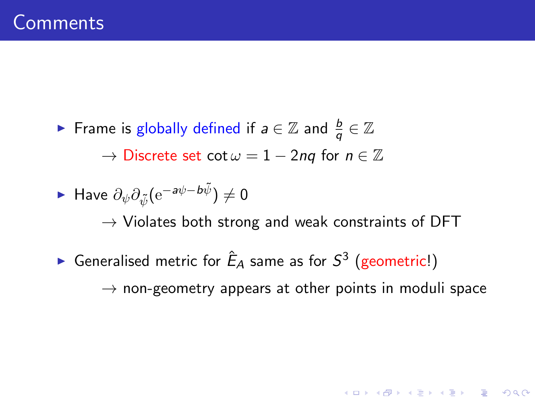► Frame is globally defined if  $a \in \mathbb{Z}$  and  $\frac{b}{q} \in \mathbb{Z}$  $\rightarrow$  Discrete set cot  $\omega = 1 - 2nq$  for  $n \in \mathbb{Z}$ 

► Have 
$$
\partial_{\psi}\partial_{\tilde{\psi}}(e^{-a\psi - b\tilde{\psi}}) \neq 0
$$

 $\rightarrow$  Violates both strong and weak constraints of DFT

► Generalised metric for  $\hat{E}_A$  same as for  $S^3$  (geometric!)

 $\rightarrow$  non-geometry appears at other points in moduli space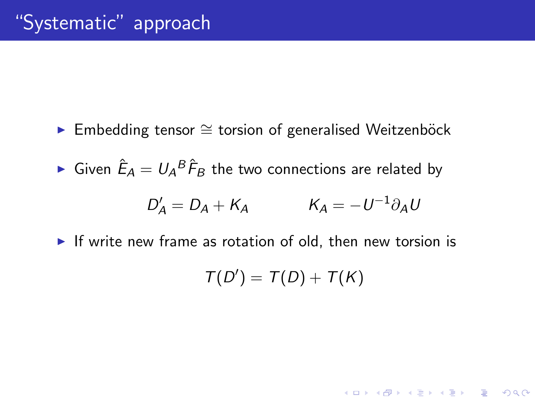- ► Embedding tensor ≅ torsion of generalised Weitzenböck
- $\blacktriangleright$  Given  $\hat{E}_A = U_A{}^B \hat{\mathcal{F}}_B$  the two connections are related by

$$
D'_A = D_A + K_A \qquad K_A = -U^{-1}\partial_A U
$$

 $\blacktriangleright$  If write new frame as rotation of old, then new torsion is

$$
\mathcal{T}(D') = \mathcal{T}(D) + \mathcal{T}(K)
$$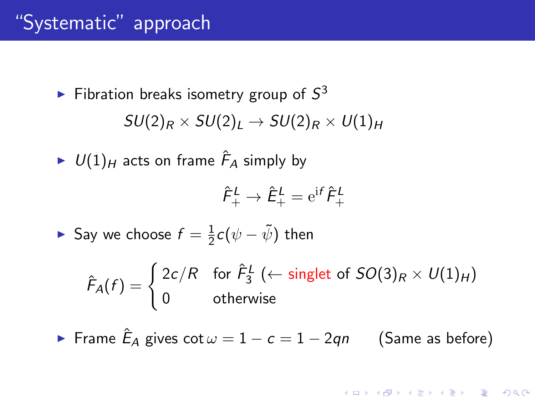# "Systematic" approach

► Fibonacci breaks isometry group of 
$$
S^3
$$
  
\n
$$
SU(2)_R \times SU(2)_L \rightarrow SU(2)_R \times U(1)_H
$$

 $\blacktriangleright$   $U(1)_H$  acts on frame  $\hat{\digamma}_A$  simply by

$$
\hat{F}^{\mathcal{L}}_{+}\rightarrow \hat{E}^{\mathcal{L}}_{+}=\mathrm{e}^{\mathrm{i}f}\hat{F}^{\mathcal{L}}_{+}
$$

Say we choose  $f=\frac{1}{2}$  $\frac{1}{2} \mathsf{c}(\psi - \tilde{\psi})$  then

> $\hat{F}_A(f) = \begin{cases} 2c/R & \text{for } \hat{F}_3^L \ (\leftarrow \text{ singlet of } SO(3)_R \times U(1)_H) \end{cases}$ 0 otherwise

► Frame  $\hat{\mathsf{E}}_\mathsf{A}$  gives  $\cot \omega = 1 - c = 1 - 2q$ n (Same as before)

**KORK ERKER ADE YOUR**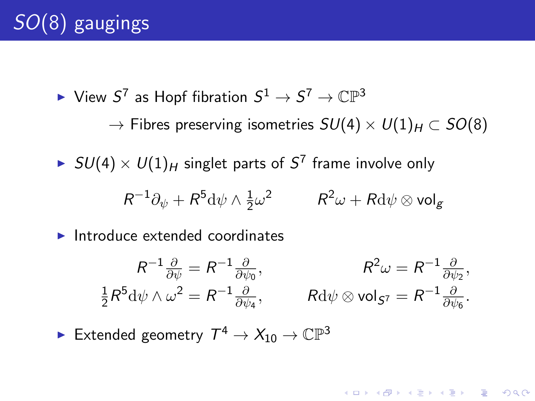$\blacktriangleright$  View  $S^7$  as Hopf fibration  $S^1\to S^7\to \mathbb{CP}^3$  $\rightarrow$  Fibres preserving isometries  $SU(4) \times U(1)_H \subset SO(8)$ 

 $\blacktriangleright$   $SU(4)\times U(1)_H$  singlet parts of  $S^7$  frame involve only

$$
R^{-1}\partial_{\psi} + R^{5} \mathrm{d} \psi \wedge \tfrac{1}{2} \omega^{2} \qquad \quad R^{2} \omega + R \mathrm{d} \psi \otimes \mathrm{vol}_{g}
$$

 $\blacktriangleright$  Introduce extended coordinates

$$
R^{-1}\frac{\partial}{\partial \psi} = R^{-1}\frac{\partial}{\partial \psi_0}, \qquad R^2\omega = R^{-1}\frac{\partial}{\partial \psi_2},
$$
  

$$
\frac{1}{2}R^5 d\psi \wedge \omega^2 = R^{-1}\frac{\partial}{\partial \psi_4}, \qquad R d\psi \otimes \text{vol}_{S^7} = R^{-1}\frac{\partial}{\partial \psi_6}.
$$

**KORK ERKER ADE YOUR** 

 $\blacktriangleright$  Extended geometry  $\mathcal{T}^4 \to X_{10} \to \mathbb{CP}^3$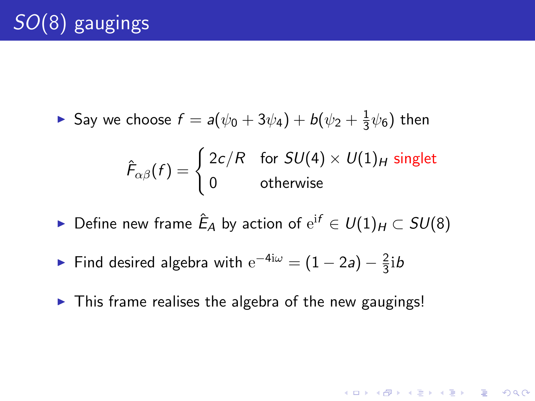$$
\triangleright
$$
 Say we choose  $f = a(\psi_0 + 3\psi_4) + b(\psi_2 + \frac{1}{3}\psi_6)$  then

$$
\hat{F}_{\alpha\beta}(f) = \begin{cases} 2c/R & \text{for } SU(4) \times U(1)_H \text{ singlet} \\ 0 & \text{otherwise} \end{cases}
$$

- ► Define new frame  $\hat{E}_A$  by action of  $\mathrm{e}^{\mathrm{i} f} \in U(1)_H \subset SU(8)$
- Find desired algebra with  $e^{-4i\omega} = (1 2a) \frac{2}{3}$  $rac{2}{3}$ ib
- $\blacktriangleright$  This frame realises the algebra of the new gaugings!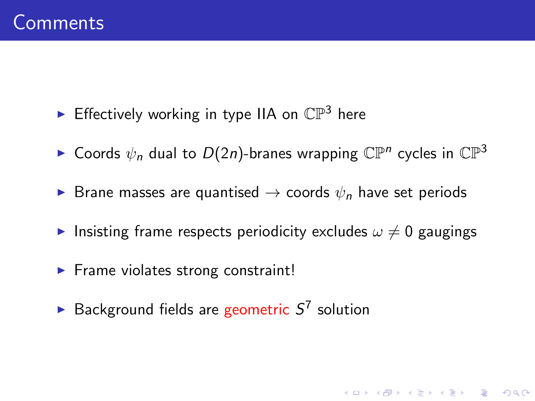- **Fi** Effectively working in type IIA on  $\mathbb{CP}^3$  here
- $\blacktriangleright$  Coords  $\psi_n$  dual to  $D(2n)$ -branes wrapping  $\mathbb{CP}^n$  cycles in  $\mathbb{CP}^3$
- ► Brane masses are quantised  $\rightarrow$  coords  $\psi_n$  have set periods
- Insisting frame respects periodicity excludes  $\omega \neq 0$  gaugings

- $\blacktriangleright$  Frame violates strong constraint!
- Background fields are geometric  $S^7$  solution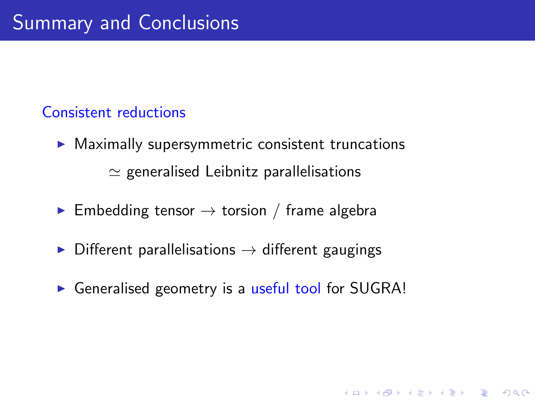### Consistent reductions

- $\triangleright$  Maximally supersymmetric consistent truncations  $\simeq$  generalised Leibnitz parallelisations
- **Embedding tensor**  $\rightarrow$  torsion / frame algebra
- $\triangleright$  Different parallelisations  $\rightarrow$  different gaugings
- ► Generalised geometry is a useful tool for SUGRA!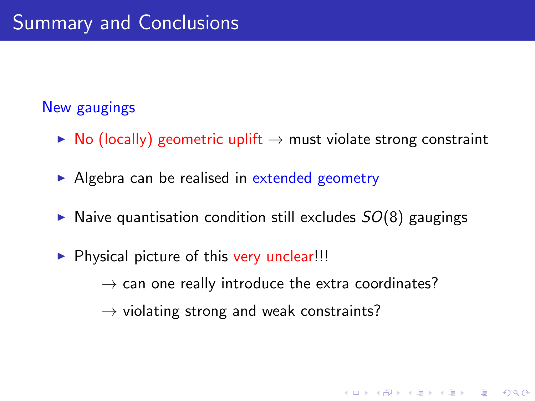### New gaugings

- $\triangleright$  No (locally) geometric uplift  $\rightarrow$  must violate strong constraint
- $\triangleright$  Algebra can be realised in extended geometry
- $\triangleright$  Naive quantisation condition still excludes  $SO(8)$  gaugings
- $\triangleright$  Physical picture of this very unclear!!!

 $\rightarrow$  can one really introduce the extra coordinates?

**K ロ ▶ K @ ▶ K 할 X X 할 X 및 할 X X Q Q O** 

 $\rightarrow$  violating strong and weak constraints?